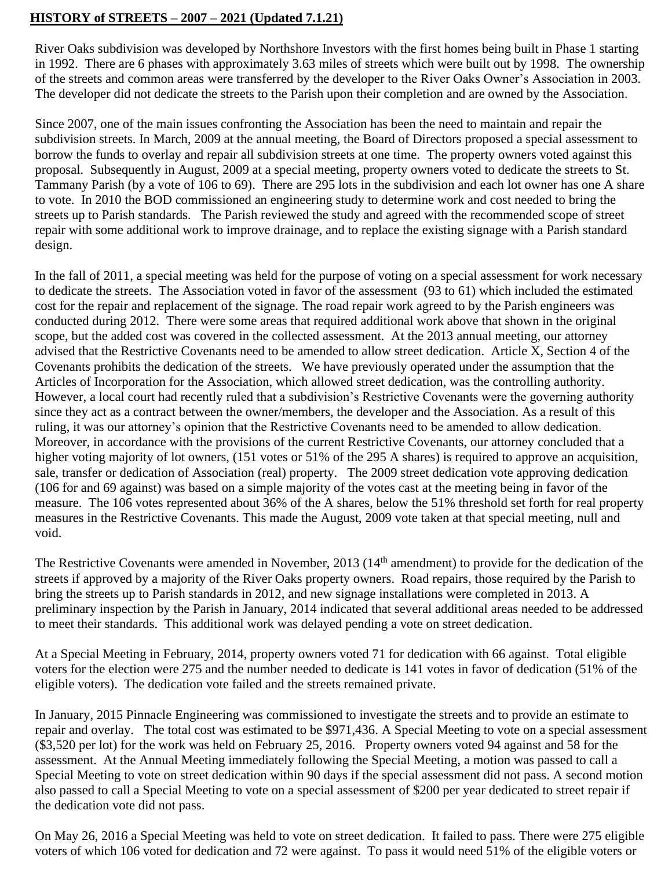## **HISTORY of STREETS – 2007 – 2021 (Updated 7.1.21)**

River Oaks subdivision was developed by Northshore Investors with the first homes being built in Phase 1 starting in 1992. There are 6 phases with approximately 3.63 miles of streets which were built out by 1998. The ownership of the streets and common areas were transferred by the developer to the River Oaks Owner's Association in 2003. The developer did not dedicate the streets to the Parish upon their completion and are owned by the Association.

Since 2007, one of the main issues confronting the Association has been the need to maintain and repair the subdivision streets. In March, 2009 at the annual meeting, the Board of Directors proposed a special assessment to borrow the funds to overlay and repair all subdivision streets at one time. The property owners voted against this proposal. Subsequently in August, 2009 at a special meeting, property owners voted to dedicate the streets to St. Tammany Parish (by a vote of 106 to 69). There are 295 lots in the subdivision and each lot owner has one A share to vote. In 2010 the BOD commissioned an engineering study to determine work and cost needed to bring the streets up to Parish standards. The Parish reviewed the study and agreed with the recommended scope of street repair with some additional work to improve drainage, and to replace the existing signage with a Parish standard design.

In the fall of 2011, a special meeting was held for the purpose of voting on a special assessment for work necessary to dedicate the streets. The Association voted in favor of the assessment (93 to 61) which included the estimated cost for the repair and replacement of the signage. The road repair work agreed to by the Parish engineers was conducted during 2012. There were some areas that required additional work above that shown in the original scope, but the added cost was covered in the collected assessment. At the 2013 annual meeting, our attorney advised that the Restrictive Covenants need to be amended to allow street dedication. Article X, Section 4 of the Covenants prohibits the dedication of the streets. We have previously operated under the assumption that the Articles of Incorporation for the Association, which allowed street dedication, was the controlling authority. However, a local court had recently ruled that a subdivision's Restrictive Covenants were the governing authority since they act as a contract between the owner/members, the developer and the Association. As a result of this ruling, it was our attorney's opinion that the Restrictive Covenants need to be amended to allow dedication. Moreover, in accordance with the provisions of the current Restrictive Covenants, our attorney concluded that a higher voting majority of lot owners, (151 votes or 51% of the 295 A shares) is required to approve an acquisition, sale, transfer or dedication of Association (real) property. The 2009 street dedication vote approving dedication (106 for and 69 against) was based on a simple majority of the votes cast at the meeting being in favor of the measure. The 106 votes represented about 36% of the A shares, below the 51% threshold set forth for real property measures in the Restrictive Covenants. This made the August, 2009 vote taken at that special meeting, null and void.

The Restrictive Covenants were amended in November, 2013 (14<sup>th</sup> amendment) to provide for the dedication of the streets if approved by a majority of the River Oaks property owners. Road repairs, those required by the Parish to bring the streets up to Parish standards in 2012, and new signage installations were completed in 2013. A preliminary inspection by the Parish in January, 2014 indicated that several additional areas needed to be addressed to meet their standards. This additional work was delayed pending a vote on street dedication.

At a Special Meeting in February, 2014, property owners voted 71 for dedication with 66 against. Total eligible voters for the election were 275 and the number needed to dedicate is 141 votes in favor of dedication (51% of the eligible voters). The dedication vote failed and the streets remained private.

In January, 2015 Pinnacle Engineering was commissioned to investigate the streets and to provide an estimate to repair and overlay. The total cost was estimated to be \$971,436. A Special Meeting to vote on a special assessment (\$3,520 per lot) for the work was held on February 25, 2016. Property owners voted 94 against and 58 for the assessment. At the Annual Meeting immediately following the Special Meeting, a motion was passed to call a Special Meeting to vote on street dedication within 90 days if the special assessment did not pass. A second motion also passed to call a Special Meeting to vote on a special assessment of \$200 per year dedicated to street repair if the dedication vote did not pass.

On May 26, 2016 a Special Meeting was held to vote on street dedication. It failed to pass. There were 275 eligible voters of which 106 voted for dedication and 72 were against. To pass it would need 51% of the eligible voters or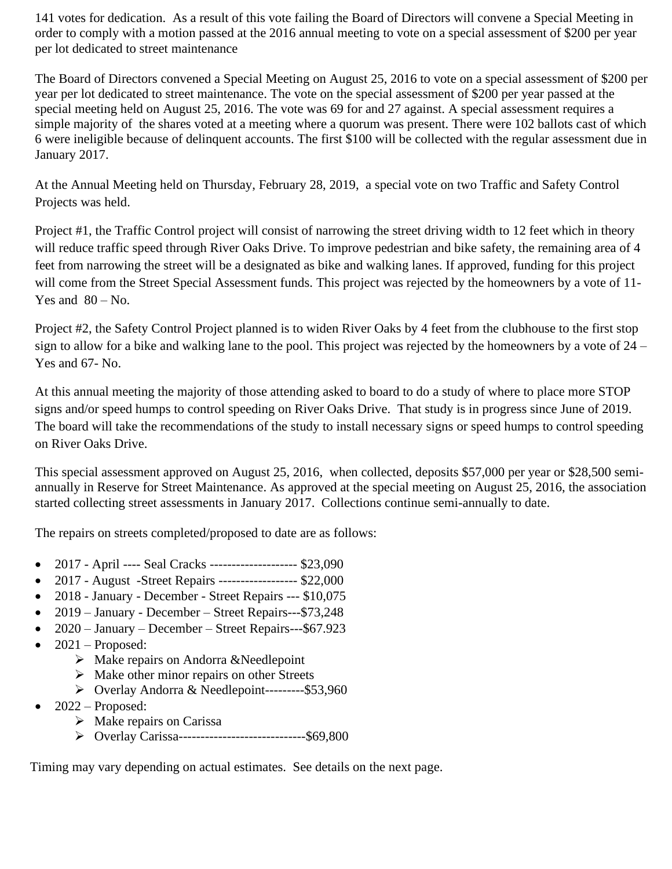141 votes for dedication. As a result of this vote failing the Board of Directors will convene a Special Meeting in order to comply with a motion passed at the 2016 annual meeting to vote on a special assessment of \$200 per year per lot dedicated to street maintenance

The Board of Directors convened a Special Meeting on August 25, 2016 to vote on a special assessment of \$200 per year per lot dedicated to street maintenance. The vote on the special assessment of \$200 per year passed at the special meeting held on August 25, 2016. The vote was 69 for and 27 against. A special assessment requires a simple majority of the shares voted at a meeting where a quorum was present. There were 102 ballots cast of which 6 were ineligible because of delinquent accounts. The first \$100 will be collected with the regular assessment due in January 2017.

At the Annual Meeting held on Thursday, February 28, 2019, a special vote on two Traffic and Safety Control Projects was held.

Project #1, the Traffic Control project will consist of narrowing the street driving width to 12 feet which in theory will reduce traffic speed through River Oaks Drive. To improve pedestrian and bike safety, the remaining area of 4 feet from narrowing the street will be a designated as bike and walking lanes. If approved, funding for this project will come from the Street Special Assessment funds. This project was rejected by the homeowners by a vote of 11-Yes and  $80 - No$ .

Project #2, the Safety Control Project planned is to widen River Oaks by 4 feet from the clubhouse to the first stop sign to allow for a bike and walking lane to the pool. This project was rejected by the homeowners by a vote of 24 – Yes and 67- No.

At this annual meeting the majority of those attending asked to board to do a study of where to place more STOP signs and/or speed humps to control speeding on River Oaks Drive. That study is in progress since June of 2019. The board will take the recommendations of the study to install necessary signs or speed humps to control speeding on River Oaks Drive.

This special assessment approved on August 25, 2016, when collected, deposits \$57,000 per year or \$28,500 semiannually in Reserve for Street Maintenance. As approved at the special meeting on August 25, 2016, the association started collecting street assessments in January 2017. Collections continue semi-annually to date.

The repairs on streets completed/proposed to date are as follows:

- 2017 April ---- Seal Cracks -------------------- \$23,090
- 2017 August -Street Repairs ------------------ \$22,000
- 2018 January December Street Repairs --- \$10,075
- 2019 January December Street Repairs---\$73,248
- 2020 January December Street Repairs---\$67.923
- $2021$  Proposed:
	- ➢ Make repairs on Andorra &Needlepoint
	- $\triangleright$  Make other minor repairs on other Streets
	- ➢ Overlay Andorra & Needlepoint---------\$53,960
- 2022 Proposed:
	- $\triangleright$  Make repairs on Carissa
	- ➢ Overlay Carissa-----------------------------\$69,800

Timing may vary depending on actual estimates. See details on the next page.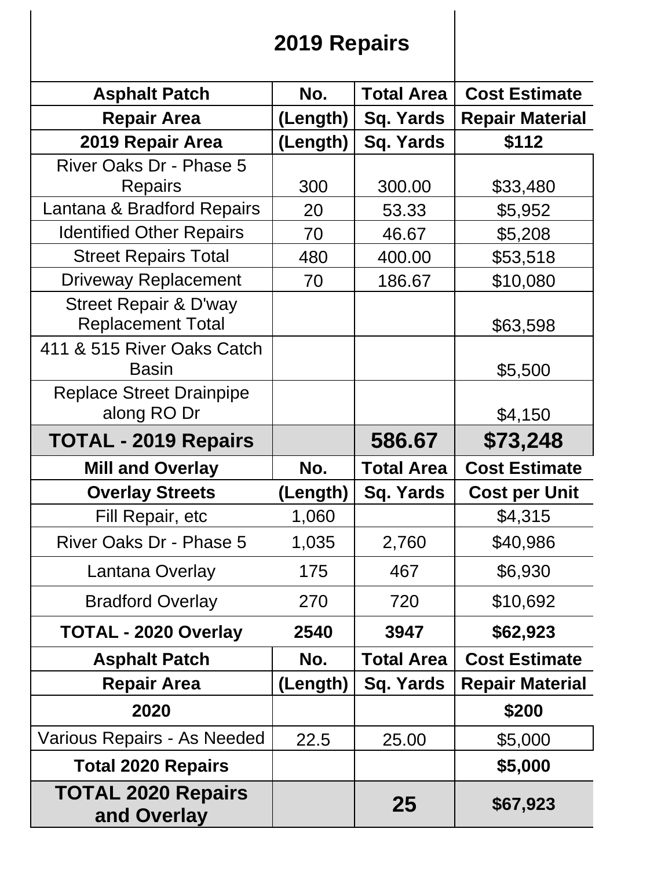## **2019 Repairs**

| <b>Asphalt Patch</b>                                         | No.      | <b>Total Area</b> | <b>Cost Estimate</b>   |
|--------------------------------------------------------------|----------|-------------------|------------------------|
| <b>Repair Area</b>                                           | (Length) | Sq. Yards         | <b>Repair Material</b> |
| 2019 Repair Area                                             | (Length) | <b>Sq. Yards</b>  | \$112                  |
| <b>River Oaks Dr - Phase 5</b>                               |          |                   |                        |
| Repairs                                                      | 300      | 300.00            | \$33,480               |
| Lantana & Bradford Repairs                                   | 20       | 53.33             | \$5,952                |
| <b>Identified Other Repairs</b>                              | 70       | 46.67             | \$5,208                |
| <b>Street Repairs Total</b>                                  | 480      | 400.00            | \$53,518               |
| <b>Driveway Replacement</b>                                  | 70       | 186.67            | \$10,080               |
| <b>Street Repair &amp; D'way</b><br><b>Replacement Total</b> |          |                   |                        |
| 411 & 515 River Oaks Catch                                   |          |                   | \$63,598               |
| <b>Basin</b>                                                 |          |                   | \$5,500                |
| <b>Replace Street Drainpipe</b>                              |          |                   |                        |
| along RO Dr                                                  |          |                   | \$4,150                |
| <b>TOTAL - 2019 Repairs</b>                                  |          | 586.67            | \$73,248               |
| <b>Mill and Overlay</b>                                      | No.      | <b>Total Area</b> | <b>Cost Estimate</b>   |
| <b>Overlay Streets</b>                                       | (Length) | Sq. Yards         | <b>Cost per Unit</b>   |
| Fill Repair, etc                                             | 1,060    |                   | \$4,315                |
| River Oaks Dr - Phase 5                                      | 1,035    | 2,760             | \$40,986               |
| Lantana Overlay                                              | 175      | 467               | \$6,930                |
| <b>Bradford Overlay</b>                                      | 270      | 720               | \$10,692               |
| <b>TOTAL - 2020 Overlay</b>                                  | 2540     | 3947              | \$62,923               |
| <b>Asphalt Patch</b>                                         | No.      | <b>Total Area</b> | <b>Cost Estimate</b>   |
| <b>Repair Area</b>                                           | (Length) | <b>Sq. Yards</b>  | <b>Repair Material</b> |
| 2020                                                         |          |                   | \$200                  |
| Various Repairs - As Needed                                  | 22.5     | 25.00             | \$5,000                |
| <b>Total 2020 Repairs</b>                                    |          |                   | \$5,000                |
| <b>TOTAL 2020 Repairs</b><br>and Overlay                     |          | 25                | \$67,923               |